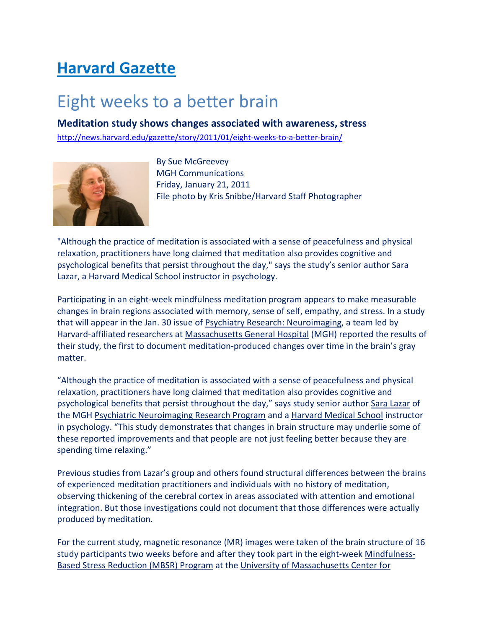## Harvard Gazette

## Eight weeks to a better brain

Meditation study shows changes associated with awareness, stress

http://news.harvard.edu/gazette/story/2011/01/eight-weeks-to-a-better-brain/



By Sue McGreevey MGH Communications Friday, January 21, 2011 File photo by Kris Snibbe/Harvard Staff Photographer

"Although the practice of meditation is associated with a sense of peacefulness and physical relaxation, practitioners have long claimed that meditation also provides cognitive and psychological benefits that persist throughout the day," says the study's senior author Sara Lazar, a Harvard Medical School instructor in psychology.

Participating in an eight-week mindfulness meditation program appears to make measurable changes in brain regions associated with memory, sense of self, empathy, and stress. In a study that will appear in the Jan. 30 issue of Psychiatry Research: Neuroimaging, a team led by Harvard-affiliated researchers at Massachusetts General Hospital (MGH) reported the results of their study, the first to document meditation-produced changes over time in the brain's gray matter.

"Although the practice of meditation is associated with a sense of peacefulness and physical relaxation, practitioners have long claimed that meditation also provides cognitive and psychological benefits that persist throughout the day," says study senior author Sara Lazar of the MGH Psychiatric Neuroimaging Research Program and a Harvard Medical School instructor in psychology. "This study demonstrates that changes in brain structure may underlie some of these reported improvements and that people are not just feeling better because they are spending time relaxing."

Previous studies from Lazar's group and others found structural differences between the brains of experienced meditation practitioners and individuals with no history of meditation, observing thickening of the cerebral cortex in areas associated with attention and emotional integration. But those investigations could not document that those differences were actually produced by meditation.

For the current study, magnetic resonance (MR) images were taken of the brain structure of 16 study participants two weeks before and after they took part in the eight-week Mindfulness-Based Stress Reduction (MBSR) Program at the University of Massachusetts Center for